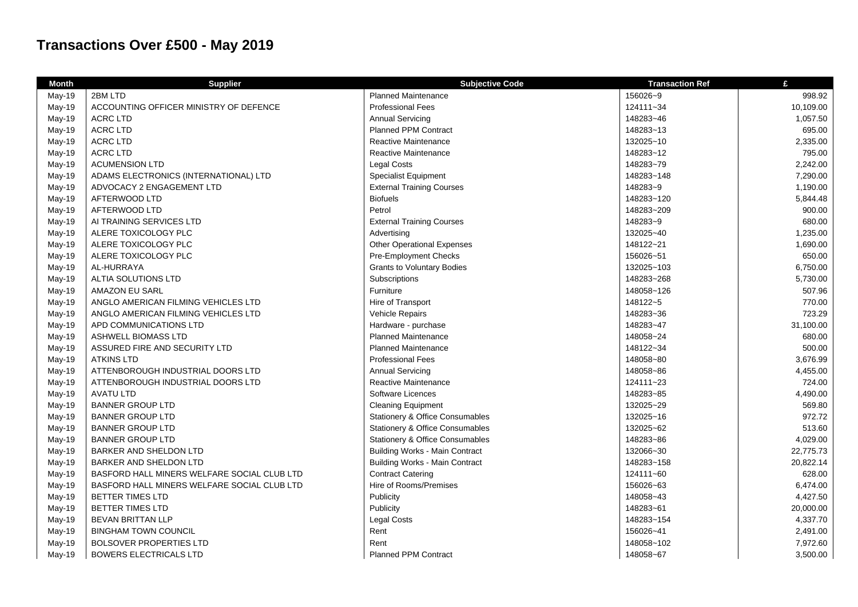## **Transactions Over £500 - May 2019**

| <b>Month</b> | <b>Supplier</b>                             | <b>Subjective Code</b>                     | <b>Transaction Ref</b> | £         |
|--------------|---------------------------------------------|--------------------------------------------|------------------------|-----------|
| May-19       | 2BM LTD                                     | <b>Planned Maintenance</b>                 | 156026~9               | 998.92    |
| May-19       | ACCOUNTING OFFICER MINISTRY OF DEFENCE      | <b>Professional Fees</b>                   | 124111~34              | 10,109.00 |
| May-19       | <b>ACRC LTD</b>                             | <b>Annual Servicing</b>                    | 148283~46              | 1,057.50  |
| May-19       | <b>ACRC LTD</b>                             | <b>Planned PPM Contract</b>                | 148283~13              | 695.00    |
| May-19       | <b>ACRC LTD</b>                             | Reactive Maintenance                       | 132025~10              | 2,335.00  |
| May-19       | <b>ACRC LTD</b>                             | Reactive Maintenance                       | 148283~12              | 795.00    |
| May-19       | <b>ACUMENSION LTD</b>                       | Legal Costs                                | 148283~79              | 2,242.00  |
| May-19       | ADAMS ELECTRONICS (INTERNATIONAL) LTD       | <b>Specialist Equipment</b>                | 148283~148             | 7,290.00  |
| May-19       | ADVOCACY 2 ENGAGEMENT LTD                   | <b>External Training Courses</b>           | 148283~9               | 1,190.00  |
| May-19       | AFTERWOOD LTD                               | <b>Biofuels</b>                            | 148283~120             | 5,844.48  |
| May-19       | AFTERWOOD LTD                               | Petrol                                     | 148283~209             | 900.00    |
| May-19       | AI TRAINING SERVICES LTD                    | <b>External Training Courses</b>           | 148283~9               | 680.00    |
| May-19       | ALERE TOXICOLOGY PLC                        | Advertising                                | 132025~40              | 1,235.00  |
| May-19       | ALERE TOXICOLOGY PLC                        | <b>Other Operational Expenses</b>          | 148122~21              | 1,690.00  |
| May-19       | ALERE TOXICOLOGY PLC                        | Pre-Employment Checks                      | 156026~51              | 650.00    |
| May-19       | AL-HURRAYA                                  | <b>Grants to Voluntary Bodies</b>          | 132025~103             | 6,750.00  |
| May-19       | ALTIA SOLUTIONS LTD                         | Subscriptions                              | 148283~268             | 5,730.00  |
| May-19       | AMAZON EU SARL                              | Furniture                                  | 148058~126             | 507.96    |
| May-19       | ANGLO AMERICAN FILMING VEHICLES LTD         | Hire of Transport                          | 148122~5               | 770.00    |
| May-19       | ANGLO AMERICAN FILMING VEHICLES LTD         | Vehicle Repairs                            | 148283~36              | 723.29    |
| May-19       | APD COMMUNICATIONS LTD                      | Hardware - purchase                        | 148283~47              | 31,100.00 |
| May-19       | <b>ASHWELL BIOMASS LTD</b>                  | <b>Planned Maintenance</b>                 | 148058~24              | 680.00    |
| May-19       | ASSURED FIRE AND SECURITY LTD               | <b>Planned Maintenance</b>                 | 148122~34              | 500.00    |
| May-19       | <b>ATKINS LTD</b>                           | <b>Professional Fees</b>                   | 148058~80              | 3,676.99  |
| May-19       | ATTENBOROUGH INDUSTRIAL DOORS LTD           | <b>Annual Servicing</b>                    | 148058~86              | 4,455.00  |
| May-19       | ATTENBOROUGH INDUSTRIAL DOORS LTD           | Reactive Maintenance                       | 124111~23              | 724.00    |
| May-19       | <b>AVATU LTD</b>                            | Software Licences                          | 148283~85              | 4,490.00  |
| May-19       | <b>BANNER GROUP LTD</b>                     | <b>Cleaning Equipment</b>                  | 132025~29              | 569.80    |
| May-19       | <b>BANNER GROUP LTD</b>                     | <b>Stationery &amp; Office Consumables</b> | 132025~16              | 972.72    |
| May-19       | <b>BANNER GROUP LTD</b>                     | <b>Stationery &amp; Office Consumables</b> | 132025~62              | 513.60    |
| May-19       | <b>BANNER GROUP LTD</b>                     | <b>Stationery &amp; Office Consumables</b> | 148283~86              | 4,029.00  |
| May-19       | BARKER AND SHELDON LTD                      | <b>Building Works - Main Contract</b>      | 132066~30              | 22,775.73 |
| May-19       | BARKER AND SHELDON LTD                      | <b>Building Works - Main Contract</b>      | 148283~158             | 20,822.14 |
| May-19       | BASFORD HALL MINERS WELFARE SOCIAL CLUB LTD | <b>Contract Catering</b>                   | 124111~60              | 628.00    |
| May-19       | BASFORD HALL MINERS WELFARE SOCIAL CLUB LTD | Hire of Rooms/Premises                     | 156026~63              | 6,474.00  |
| May-19       | <b>BETTER TIMES LTD</b>                     | Publicity                                  | 148058~43              | 4,427.50  |
| May-19       | <b>BETTER TIMES LTD</b>                     | Publicity                                  | 148283~61              | 20,000.00 |
| May-19       | <b>BEVAN BRITTAN LLP</b>                    | <b>Legal Costs</b>                         | 148283~154             | 4,337.70  |
| May-19       | <b>BINGHAM TOWN COUNCIL</b>                 | Rent                                       | 156026~41              | 2,491.00  |
| May-19       | <b>BOLSOVER PROPERTIES LTD</b>              | Rent                                       | 148058~102             | 7,972.60  |
| May-19       | <b>BOWERS ELECTRICALS LTD</b>               | <b>Planned PPM Contract</b>                | 148058~67              | 3,500.00  |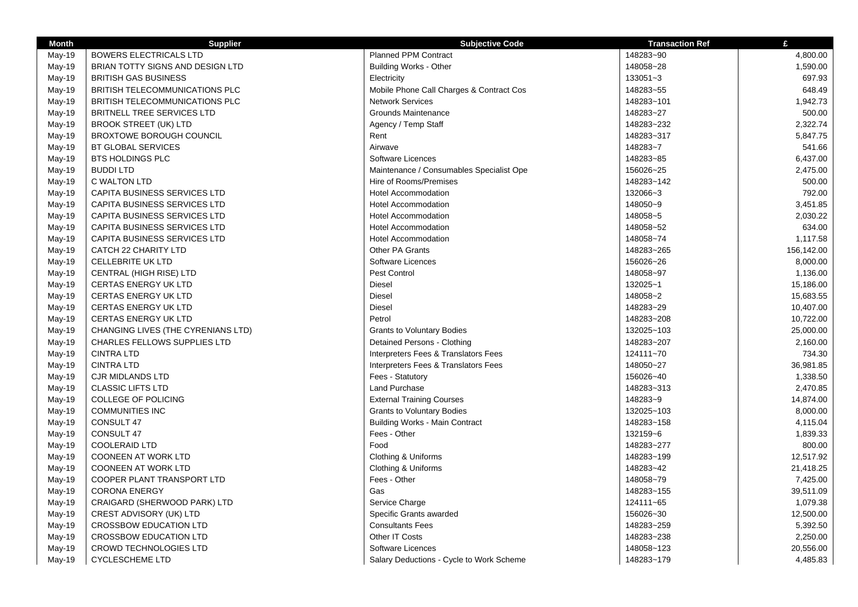| <b>Month</b> | <b>Supplier</b>                       | <b>Subjective Code</b>                   | <b>Transaction Ref</b> | £          |
|--------------|---------------------------------------|------------------------------------------|------------------------|------------|
| May-19       | <b>BOWERS ELECTRICALS LTD</b>         | <b>Planned PPM Contract</b>              | 148283~90              | 4,800.00   |
| May-19       | BRIAN TOTTY SIGNS AND DESIGN LTD      | <b>Building Works - Other</b>            | 148058~28              | 1,590.00   |
| May-19       | <b>BRITISH GAS BUSINESS</b>           | Electricity                              | 133051~3               | 697.93     |
| May-19       | <b>BRITISH TELECOMMUNICATIONS PLC</b> | Mobile Phone Call Charges & Contract Cos | 148283~55              | 648.49     |
| May-19       | BRITISH TELECOMMUNICATIONS PLC        | <b>Network Services</b>                  | 148283~101             | 1,942.73   |
| May-19       | BRITNELL TREE SERVICES LTD            | <b>Grounds Maintenance</b>               | 148283~27              | 500.00     |
| May-19       | <b>BROOK STREET (UK) LTD</b>          | Agency / Temp Staff                      | 148283~232             | 2,322.74   |
| May-19       | <b>BROXTOWE BOROUGH COUNCIL</b>       | Rent                                     | 148283~317             | 5,847.75   |
| May-19       | <b>BT GLOBAL SERVICES</b>             | Airwave                                  | 148283~7               | 541.66     |
| May-19       | <b>BTS HOLDINGS PLC</b>               | Software Licences                        | 148283~85              | 6,437.00   |
| May-19       | <b>BUDDILTD</b>                       | Maintenance / Consumables Specialist Ope | 156026~25              | 2,475.00   |
| May-19       | C WALTON LTD                          | Hire of Rooms/Premises                   | 148283~142             | 500.00     |
| May-19       | CAPITA BUSINESS SERVICES LTD          | <b>Hotel Accommodation</b>               | 132066~3               | 792.00     |
| May-19       | CAPITA BUSINESS SERVICES LTD          | <b>Hotel Accommodation</b>               | 148050~9               | 3,451.85   |
| May-19       | CAPITA BUSINESS SERVICES LTD          | <b>Hotel Accommodation</b>               | 148058~5               | 2,030.22   |
| May-19       | CAPITA BUSINESS SERVICES LTD          | <b>Hotel Accommodation</b>               | 148058~52              | 634.00     |
| May-19       | CAPITA BUSINESS SERVICES LTD          | <b>Hotel Accommodation</b>               | 148058~74              | 1,117.58   |
| May-19       | CATCH 22 CHARITY LTD                  | Other PA Grants                          | 148283~265             | 156,142.00 |
| May-19       | <b>CELLEBRITE UK LTD</b>              | Software Licences                        | 156026~26              | 8,000.00   |
| May-19       | CENTRAL (HIGH RISE) LTD               | Pest Control                             | 148058~97              | 1,136.00   |
| May-19       | <b>CERTAS ENERGY UK LTD</b>           | <b>Diesel</b>                            | 132025~1               | 15,186.00  |
| May-19       | <b>CERTAS ENERGY UK LTD</b>           | <b>Diesel</b>                            | 148058~2               | 15,683.55  |
| May-19       | <b>CERTAS ENERGY UK LTD</b>           | <b>Diesel</b>                            | 148283~29              | 10,407.00  |
| May-19       | <b>CERTAS ENERGY UK LTD</b>           | Petrol                                   | 148283~208             | 10,722.00  |
| May-19       | CHANGING LIVES (THE CYRENIANS LTD)    | <b>Grants to Voluntary Bodies</b>        | 132025~103             | 25,000.00  |
| May-19       | <b>CHARLES FELLOWS SUPPLIES LTD</b>   | Detained Persons - Clothing              | 148283~207             | 2,160.00   |
| May-19       | <b>CINTRA LTD</b>                     | Interpreters Fees & Translators Fees     | 124111~70              | 734.30     |
| May-19       | <b>CINTRA LTD</b>                     | Interpreters Fees & Translators Fees     | 148050~27              | 36,981.85  |
| May-19       | <b>CJR MIDLANDS LTD</b>               | Fees - Statutory                         | 156026~40              | 1,338.50   |
| May-19       | <b>CLASSIC LIFTS LTD</b>              | Land Purchase                            | 148283~313             | 2,470.85   |
| May-19       | <b>COLLEGE OF POLICING</b>            | <b>External Training Courses</b>         | 148283~9               | 14,874.00  |
| May-19       | <b>COMMUNITIES INC</b>                | <b>Grants to Voluntary Bodies</b>        | 132025~103             | 8,000.00   |
| May-19       | CONSULT 47                            | <b>Building Works - Main Contract</b>    | 148283~158             | 4,115.04   |
| May-19       | CONSULT 47                            | Fees - Other                             | 132159~6               | 1,839.33   |
| May-19       | <b>COOLERAID LTD</b>                  | Food                                     | 148283~277             | 800.00     |
| May-19       | <b>COONEEN AT WORK LTD</b>            | Clothing & Uniforms                      | 148283~199             | 12,517.92  |
| May-19       | <b>COONEEN AT WORK LTD</b>            | Clothing & Uniforms                      | 148283~42              | 21,418.25  |
| May-19       | COOPER PLANT TRANSPORT LTD            | Fees - Other                             | 148058~79              | 7,425.00   |
| May-19       | <b>CORONA ENERGY</b>                  | Gas                                      | 148283~155             | 39,511.09  |
| May-19       | CRAIGARD (SHERWOOD PARK) LTD          | Service Charge                           | 124111~65              | 1,079.38   |
| May-19       | CREST ADVISORY (UK) LTD               | Specific Grants awarded                  | 156026~30              | 12,500.00  |
| May-19       | <b>CROSSBOW EDUCATION LTD</b>         | <b>Consultants Fees</b>                  | 148283~259             | 5,392.50   |
| May-19       | <b>CROSSBOW EDUCATION LTD</b>         | Other IT Costs                           | 148283~238             | 2,250.00   |
| May-19       | <b>CROWD TECHNOLOGIES LTD</b>         | Software Licences                        | 148058~123             | 20,556.00  |
| May-19       | <b>CYCLESCHEME LTD</b>                | Salary Deductions - Cycle to Work Scheme | 148283~179             | 4,485.83   |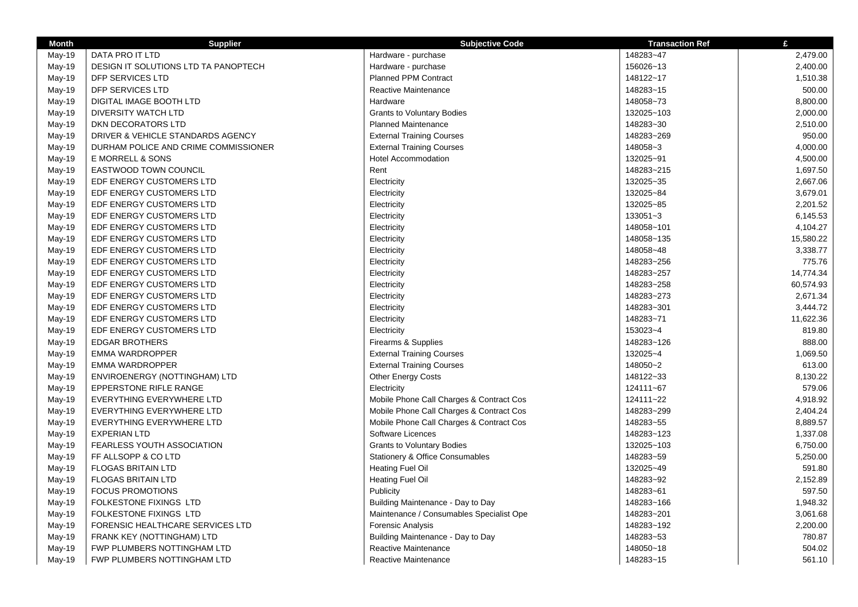| <b>Month</b> | <b>Supplier</b>                      | <b>Subjective Code</b>                   | <b>Transaction Ref</b> | £         |
|--------------|--------------------------------------|------------------------------------------|------------------------|-----------|
| May-19       | DATA PRO IT LTD                      | Hardware - purchase                      | 148283~47              | 2,479.00  |
| May-19       | DESIGN IT SOLUTIONS LTD TA PANOPTECH | Hardware - purchase                      | 156026~13              | 2,400.00  |
| May-19       | DFP SERVICES LTD                     | Planned PPM Contract                     | 148122~17              | 1,510.38  |
| May-19       | <b>DFP SERVICES LTD</b>              | <b>Reactive Maintenance</b>              | 148283~15              | 500.00    |
| May-19       | DIGITAL IMAGE BOOTH LTD              | Hardware                                 | 148058~73              | 8,800.00  |
| May-19       | <b>DIVERSITY WATCH LTD</b>           | <b>Grants to Voluntary Bodies</b>        | 132025~103             | 2,000.00  |
| May-19       | DKN DECORATORS LTD                   | <b>Planned Maintenance</b>               | 148283~30              | 2,510.00  |
| May-19       | DRIVER & VEHICLE STANDARDS AGENCY    | <b>External Training Courses</b>         | 148283~269             | 950.00    |
| May-19       | DURHAM POLICE AND CRIME COMMISSIONER | <b>External Training Courses</b>         | 148058~3               | 4,000.00  |
| May-19       | E MORRELL & SONS                     | <b>Hotel Accommodation</b>               | 132025~91              | 4,500.00  |
| May-19       | EASTWOOD TOWN COUNCIL                | Rent                                     | 148283~215             | 1,697.50  |
| May-19       | EDF ENERGY CUSTOMERS LTD             | Electricity                              | 132025~35              | 2,667.06  |
| May-19       | EDF ENERGY CUSTOMERS LTD             | Electricity                              | 132025~84              | 3,679.01  |
| May-19       | EDF ENERGY CUSTOMERS LTD             | Electricity                              | 132025~85              | 2,201.52  |
| May-19       | EDF ENERGY CUSTOMERS LTD             | Electricity                              | 133051~3               | 6,145.53  |
| May-19       | EDF ENERGY CUSTOMERS LTD             | Electricity                              | 148058~101             | 4,104.27  |
| May-19       | EDF ENERGY CUSTOMERS LTD             | Electricity                              | 148058~135             | 15,580.22 |
| May-19       | EDF ENERGY CUSTOMERS LTD             | Electricity                              | 148058~48              | 3,338.77  |
| May-19       | EDF ENERGY CUSTOMERS LTD             | Electricity                              | 148283~256             | 775.76    |
| May-19       | EDF ENERGY CUSTOMERS LTD             | Electricity                              | 148283~257             | 14,774.34 |
| May-19       | EDF ENERGY CUSTOMERS LTD             | Electricity                              | 148283~258             | 60,574.93 |
| May-19       | EDF ENERGY CUSTOMERS LTD             | Electricity                              | 148283~273             | 2,671.34  |
| May-19       | EDF ENERGY CUSTOMERS LTD             | Electricity                              | 148283~301             | 3,444.72  |
| May-19       | EDF ENERGY CUSTOMERS LTD             | Electricity                              | 148283~71              | 11,622.36 |
| May-19       | EDF ENERGY CUSTOMERS LTD             | Electricity                              | 153023~4               | 819.80    |
| May-19       | <b>EDGAR BROTHERS</b>                | Firearms & Supplies                      | 148283~126             | 888.00    |
| May-19       | EMMA WARDROPPER                      | <b>External Training Courses</b>         | 132025~4               | 1,069.50  |
| May-19       | <b>EMMA WARDROPPER</b>               | <b>External Training Courses</b>         | 148050~2               | 613.00    |
| May-19       | ENVIROENERGY (NOTTINGHAM) LTD        | Other Energy Costs                       | 148122~33              | 8,130.22  |
| May-19       | EPPERSTONE RIFLE RANGE               | Electricity                              | 124111~67              | 579.06    |
| May-19       | EVERYTHING EVERYWHERE LTD            | Mobile Phone Call Charges & Contract Cos | 124111~22              | 4,918.92  |
| May-19       | EVERYTHING EVERYWHERE LTD            | Mobile Phone Call Charges & Contract Cos | 148283~299             | 2,404.24  |
| May-19       | EVERYTHING EVERYWHERE LTD            | Mobile Phone Call Charges & Contract Cos | 148283~55              | 8,889.57  |
| May-19       | <b>EXPERIAN LTD</b>                  | Software Licences                        | 148283~123             | 1,337.08  |
| May-19       | FEARLESS YOUTH ASSOCIATION           | <b>Grants to Voluntary Bodies</b>        | 132025~103             | 6,750.00  |
| May-19       | FF ALLSOPP & CO LTD                  | Stationery & Office Consumables          | 148283~59              | 5,250.00  |
| May-19       | <b>FLOGAS BRITAIN LTD</b>            | <b>Heating Fuel Oil</b>                  | 132025~49              | 591.80    |
| May-19       | <b>FLOGAS BRITAIN LTD</b>            | <b>Heating Fuel Oil</b>                  | 148283~92              | 2,152.89  |
| May-19       | <b>FOCUS PROMOTIONS</b>              | Publicity                                | 148283~61              | 597.50    |
| May-19       | FOLKESTONE FIXINGS LTD               | Building Maintenance - Day to Day        | 148283~166             | 1,948.32  |
| May-19       | FOLKESTONE FIXINGS LTD               | Maintenance / Consumables Specialist Ope | 148283~201             | 3,061.68  |
| May-19       | FORENSIC HEALTHCARE SERVICES LTD     | <b>Forensic Analysis</b>                 | 148283~192             | 2,200.00  |
| May-19       | FRANK KEY (NOTTINGHAM) LTD           | Building Maintenance - Day to Day        | 148283~53              | 780.87    |
| May-19       | FWP PLUMBERS NOTTINGHAM LTD          | Reactive Maintenance                     | 148050~18              | 504.02    |
| May-19       | FWP PLUMBERS NOTTINGHAM LTD          | <b>Reactive Maintenance</b>              | 148283~15              | 561.10    |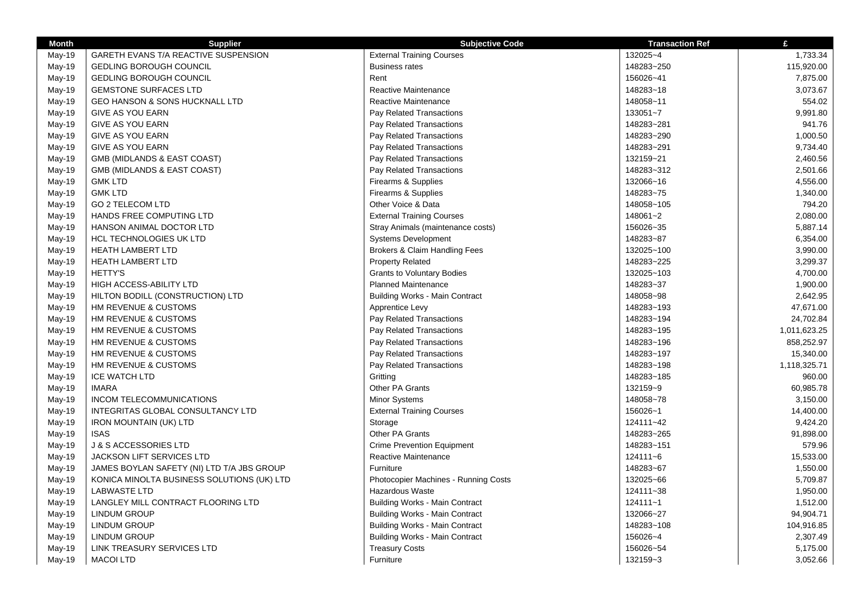| <b>Month</b> | <b>Supplier</b>                            | <b>Subjective Code</b>                                  | <b>Transaction Ref</b> | £            |
|--------------|--------------------------------------------|---------------------------------------------------------|------------------------|--------------|
| May-19       | GARETH EVANS T/A REACTIVE SUSPENSION       | <b>External Training Courses</b>                        | 132025~4               | 1,733.34     |
| May-19       | <b>GEDLING BOROUGH COUNCIL</b>             | <b>Business rates</b>                                   | 148283~250             | 115,920.00   |
| May-19       | <b>GEDLING BOROUGH COUNCIL</b>             | Rent                                                    | 156026~41              | 7,875.00     |
| May-19       | <b>GEMSTONE SURFACES LTD</b>               | Reactive Maintenance                                    | 148283~18              | 3,073.67     |
| May-19       | <b>GEO HANSON &amp; SONS HUCKNALL LTD</b>  | Reactive Maintenance                                    | 148058~11              | 554.02       |
| May-19       | <b>GIVE AS YOU EARN</b>                    | Pay Related Transactions                                | 133051~7               | 9,991.80     |
| May-19       | <b>GIVE AS YOU EARN</b>                    | Pay Related Transactions                                | 148283~281             | 941.76       |
| May-19       | <b>GIVE AS YOU EARN</b>                    | Pay Related Transactions                                | 148283~290             | 1,000.50     |
| May-19       | GIVE AS YOU EARN                           | Pay Related Transactions                                | 148283~291             | 9,734.40     |
| May-19       | GMB (MIDLANDS & EAST COAST)                | Pay Related Transactions                                | 132159~21              | 2,460.56     |
| May-19       | GMB (MIDLANDS & EAST COAST)                | Pay Related Transactions                                | 148283~312             | 2,501.66     |
| May-19       | <b>GMK LTD</b>                             | Firearms & Supplies                                     | 132066~16              | 4,556.00     |
| May-19       | <b>GMK LTD</b>                             | Firearms & Supplies                                     | 148283~75              | 1,340.00     |
| May-19       | <b>GO 2 TELECOM LTD</b>                    | Other Voice & Data                                      | 148058~105             | 794.20       |
| May-19       | HANDS FREE COMPUTING LTD                   | <b>External Training Courses</b>                        | 148061~2               | 2,080.00     |
| May-19       | HANSON ANIMAL DOCTOR LTD                   | Stray Animals (maintenance costs)                       | 156026~35              | 5,887.14     |
| May-19       | <b>HCL TECHNOLOGIES UK LTD</b>             | <b>Systems Development</b>                              | 148283~87              | 6,354.00     |
| May-19       | <b>HEATH LAMBERT LTD</b>                   | Brokers & Claim Handling Fees                           | 132025~100             | 3,990.00     |
| May-19       | <b>HEATH LAMBERT LTD</b>                   | <b>Property Related</b>                                 | 148283~225             | 3,299.37     |
| May-19       | <b>HETTY'S</b>                             | <b>Grants to Voluntary Bodies</b>                       | 132025~103             | 4,700.00     |
| May-19       | HIGH ACCESS-ABILITY LTD                    | <b>Planned Maintenance</b>                              | 148283~37              | 1,900.00     |
| May-19       | HILTON BODILL (CONSTRUCTION) LTD           | <b>Building Works - Main Contract</b>                   | 148058~98              | 2,642.95     |
| May-19       | HM REVENUE & CUSTOMS                       | Apprentice Levy                                         | 148283~193             | 47,671.00    |
| May-19       | HM REVENUE & CUSTOMS                       | Pay Related Transactions                                | 148283~194             | 24,702.84    |
| May-19       | HM REVENUE & CUSTOMS                       | Pay Related Transactions                                | 148283~195             | 1,011,623.25 |
| May-19       | HM REVENUE & CUSTOMS                       | Pay Related Transactions                                | 148283~196             | 858,252.97   |
| May-19       | HM REVENUE & CUSTOMS                       | Pay Related Transactions                                | 148283~197             | 15,340.00    |
| May-19       | HM REVENUE & CUSTOMS                       | Pay Related Transactions                                | 148283~198             | 1,118,325.71 |
| May-19       | <b>ICE WATCH LTD</b>                       | Gritting                                                | 148283~185             | 960.00       |
| May-19       | <b>IMARA</b>                               | Other PA Grants                                         | 132159~9               | 60,985.78    |
| May-19       | INCOM TELECOMMUNICATIONS                   | Minor Systems                                           | 148058~78              | 3,150.00     |
| May-19       | INTEGRITAS GLOBAL CONSULTANCY LTD          | <b>External Training Courses</b>                        | 156026~1               | 14,400.00    |
| May-19       | <b>IRON MOUNTAIN (UK) LTD</b>              | Storage                                                 | 124111~42              | 9,424.20     |
| May-19       | <b>ISAS</b>                                | Other PA Grants                                         | 148283~265             | 91,898.00    |
| May-19       | J & S ACCESSORIES LTD                      | <b>Crime Prevention Equipment</b>                       | 148283~151             | 579.96       |
| May-19       | JACKSON LIFT SERVICES LTD                  | Reactive Maintenance                                    | 124111~6               | 15,533.00    |
| May-19       | JAMES BOYLAN SAFETY (NI) LTD T/A JBS GROUP | Furniture                                               | 148283~67              | 1,550.00     |
|              | KONICA MINOLTA BUSINESS SOLUTIONS (UK) LTD |                                                         | 132025~66              | 5,709.87     |
| May-19       | <b>LABWASTE LTD</b>                        | Photocopier Machines - Running Costs<br>Hazardous Waste | 124111~38              | 1,950.00     |
| May-19       |                                            |                                                         | 124111~1               | 1,512.00     |
| May-19       | LANGLEY MILL CONTRACT FLOORING LTD         | Building Works - Main Contract                          |                        |              |
| May-19       | <b>LINDUM GROUP</b>                        | Building Works - Main Contract                          | 132066~27              | 94,904.71    |
| May-19       | <b>LINDUM GROUP</b>                        | <b>Building Works - Main Contract</b>                   | 148283~108             | 104,916.85   |
| May-19       | <b>LINDUM GROUP</b>                        | <b>Building Works - Main Contract</b>                   | 156026~4<br>156026~54  | 2,307.49     |
| May-19       | LINK TREASURY SERVICES LTD                 | <b>Treasury Costs</b>                                   |                        | 5,175.00     |
| May-19       | <b>MACOI LTD</b>                           | Furniture                                               | 132159~3               | 3,052.66     |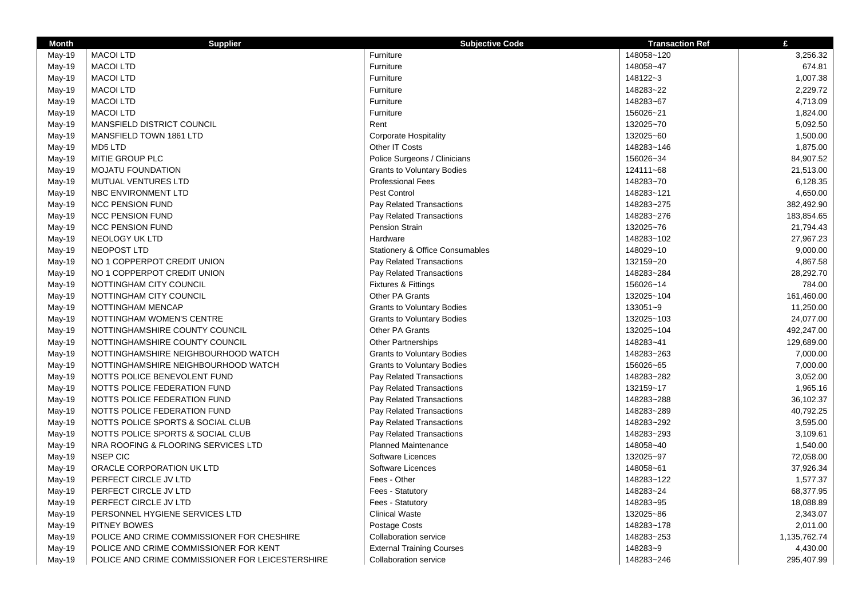| <b>Month</b> | <b>Supplier</b>                                  | <b>Subjective Code</b>                     | <b>Transaction Ref</b> | £            |
|--------------|--------------------------------------------------|--------------------------------------------|------------------------|--------------|
| May-19       | <b>MACOI LTD</b>                                 | Furniture                                  | 148058~120             | 3,256.32     |
| May-19       | <b>MACOI LTD</b>                                 | Furniture                                  | 148058~47              | 674.81       |
| May-19       | <b>MACOI LTD</b>                                 | Furniture                                  | 148122~3               | 1,007.38     |
| May-19       | <b>MACOI LTD</b>                                 | Furniture                                  | 148283~22              | 2,229.72     |
| May-19       | <b>MACOI LTD</b>                                 | Furniture                                  | 148283~67              | 4,713.09     |
| May-19       | <b>MACOI LTD</b>                                 | Furniture                                  | 156026~21              | 1,824.00     |
| May-19       | MANSFIELD DISTRICT COUNCIL                       | Rent                                       | 132025~70              | 5,092.50     |
| May-19       | MANSFIELD TOWN 1861 LTD                          | <b>Corporate Hospitality</b>               | 132025~60              | 1,500.00     |
| May-19       | MD5 LTD                                          | Other IT Costs                             | 148283~146             | 1,875.00     |
| May-19       | MITIE GROUP PLC                                  | Police Surgeons / Clinicians               | 156026~34              | 84,907.52    |
| May-19       | <b>MOJATU FOUNDATION</b>                         | <b>Grants to Voluntary Bodies</b>          | 124111~68              | 21,513.00    |
| May-19       | MUTUAL VENTURES LTD                              | <b>Professional Fees</b>                   | 148283~70              | 6,128.35     |
| May-19       | NBC ENVIRONMENT LTD                              | Pest Control                               | 148283~121             | 4,650.00     |
| May-19       | <b>NCC PENSION FUND</b>                          | Pay Related Transactions                   | 148283~275             | 382,492.90   |
| May-19       | <b>NCC PENSION FUND</b>                          | Pay Related Transactions                   | 148283~276             | 183,854.65   |
| May-19       | <b>NCC PENSION FUND</b>                          | Pension Strain                             | 132025~76              | 21,794.43    |
| May-19       | <b>NEOLOGY UK LTD</b>                            | Hardware                                   | 148283~102             | 27,967.23    |
| May-19       | NEOPOST LTD                                      | <b>Stationery &amp; Office Consumables</b> | 148029~10              | 9,000.00     |
| May-19       | NO 1 COPPERPOT CREDIT UNION                      | Pay Related Transactions                   | 132159~20              | 4,867.58     |
| May-19       | NO 1 COPPERPOT CREDIT UNION                      | Pay Related Transactions                   | 148283~284             | 28,292.70    |
| May-19       | NOTTINGHAM CITY COUNCIL                          | <b>Fixtures &amp; Fittings</b>             | 156026~14              | 784.00       |
| May-19       | NOTTINGHAM CITY COUNCIL                          | Other PA Grants                            | 132025~104             | 161,460.00   |
| May-19       | NOTTINGHAM MENCAP                                | <b>Grants to Voluntary Bodies</b>          | 133051~9               | 11,250.00    |
| May-19       | NOTTINGHAM WOMEN'S CENTRE                        | <b>Grants to Voluntary Bodies</b>          | 132025~103             | 24,077.00    |
| May-19       | NOTTINGHAMSHIRE COUNTY COUNCIL                   | Other PA Grants                            | 132025~104             | 492,247.00   |
| May-19       | NOTTINGHAMSHIRE COUNTY COUNCIL                   | <b>Other Partnerships</b>                  | 148283~41              | 129,689.00   |
| May-19       | NOTTINGHAMSHIRE NEIGHBOURHOOD WATCH              | <b>Grants to Voluntary Bodies</b>          | 148283~263             | 7,000.00     |
| May-19       | NOTTINGHAMSHIRE NEIGHBOURHOOD WATCH              | <b>Grants to Voluntary Bodies</b>          | 156026~65              | 7,000.00     |
| May-19       | NOTTS POLICE BENEVOLENT FUND                     | Pay Related Transactions                   | 148283~282             | 3,052.00     |
| May-19       | NOTTS POLICE FEDERATION FUND                     | Pay Related Transactions                   | 132159~17              | 1,965.16     |
| May-19       | NOTTS POLICE FEDERATION FUND                     | Pay Related Transactions                   | 148283~288             | 36,102.37    |
| May-19       | NOTTS POLICE FEDERATION FUND                     | Pay Related Transactions                   | 148283~289             | 40,792.25    |
| May-19       | NOTTS POLICE SPORTS & SOCIAL CLUB                | Pay Related Transactions                   | 148283~292             | 3,595.00     |
| May-19       | NOTTS POLICE SPORTS & SOCIAL CLUB                | Pay Related Transactions                   | 148283~293             | 3,109.61     |
| May-19       | NRA ROOFING & FLOORING SERVICES LTD              | <b>Planned Maintenance</b>                 | 148058~40              | 1,540.00     |
| May-19       | <b>NSEP CIC</b>                                  | Software Licences                          | 132025~97              | 72,058.00    |
| May-19       | ORACLE CORPORATION UK LTD                        | Software Licences                          | 148058~61              | 37,926.34    |
| May-19       | PERFECT CIRCLE JV LTD                            | Fees - Other                               | 148283~122             | 1,577.37     |
| May-19       | PERFECT CIRCLE JV LTD                            | Fees - Statutory                           | 148283~24              | 68,377.95    |
| May-19       | PERFECT CIRCLE JV LTD                            | Fees - Statutory                           | 148283~95              | 18,088.89    |
| May-19       | PERSONNEL HYGIENE SERVICES LTD                   | <b>Clinical Waste</b>                      | 132025~86              | 2,343.07     |
| May-19       | PITNEY BOWES                                     | Postage Costs                              | 148283~178             | 2,011.00     |
| May-19       | POLICE AND CRIME COMMISSIONER FOR CHESHIRE       | Collaboration service                      | 148283~253             | 1,135,762.74 |
|              | POLICE AND CRIME COMMISSIONER FOR KENT           | <b>External Training Courses</b>           | 148283~9               | 4,430.00     |
| May-19       |                                                  |                                            | 148283~246             |              |
| May-19       | POLICE AND CRIME COMMISSIONER FOR LEICESTERSHIRE | Collaboration service                      |                        | 295,407.99   |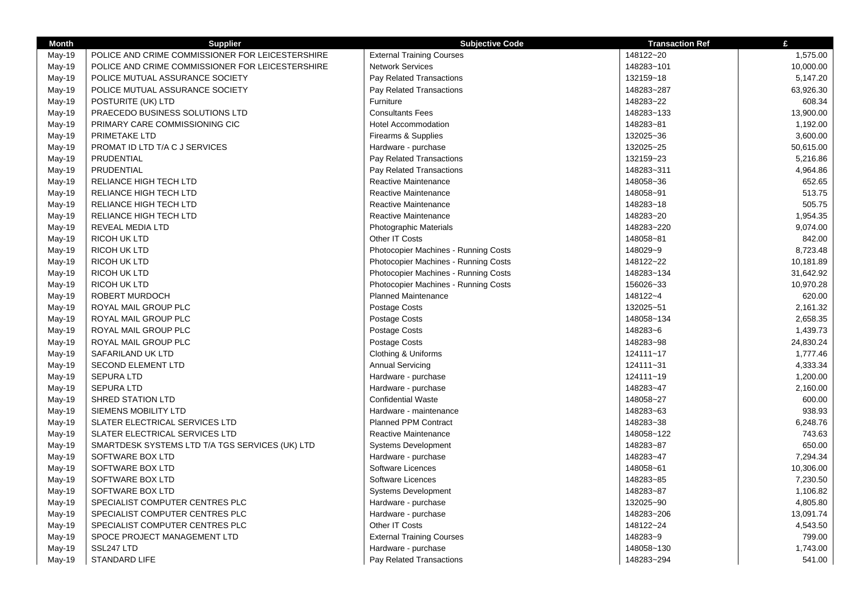| <b>Month</b> | <b>Supplier</b>                                  | <b>Subjective Code</b>                      | <b>Transaction Ref</b> | £         |
|--------------|--------------------------------------------------|---------------------------------------------|------------------------|-----------|
| May-19       | POLICE AND CRIME COMMISSIONER FOR LEICESTERSHIRE | <b>External Training Courses</b>            | 148122~20              | 1,575.00  |
| May-19       | POLICE AND CRIME COMMISSIONER FOR LEICESTERSHIRE | <b>Network Services</b>                     | 148283~101             | 10,000.00 |
| May-19       | POLICE MUTUAL ASSURANCE SOCIETY                  | Pay Related Transactions                    | 132159~18              | 5,147.20  |
| May-19       | POLICE MUTUAL ASSURANCE SOCIETY                  | Pay Related Transactions                    | 148283~287             | 63,926.30 |
| May-19       | POSTURITE (UK) LTD                               | Furniture                                   | 148283~22              | 608.34    |
| May-19       | PRAECEDO BUSINESS SOLUTIONS LTD                  | <b>Consultants Fees</b>                     | 148283~133             | 13,900.00 |
| May-19       | PRIMARY CARE COMMISSIONING CIC                   | <b>Hotel Accommodation</b>                  | 148283~81              | 1,192.00  |
| May-19       | PRIMETAKE LTD                                    | Firearms & Supplies                         | 132025~36              | 3,600.00  |
| May-19       | PROMAT ID LTD T/A C J SERVICES                   | Hardware - purchase                         | 132025~25              | 50,615.00 |
| May-19       | PRUDENTIAL                                       | Pay Related Transactions                    | 132159~23              | 5,216.86  |
| May-19       | PRUDENTIAL                                       | Pay Related Transactions                    | 148283~311             | 4,964.86  |
| May-19       | RELIANCE HIGH TECH LTD                           | Reactive Maintenance                        | 148058~36              | 652.65    |
| May-19       | RELIANCE HIGH TECH LTD                           | <b>Reactive Maintenance</b>                 | 148058~91              | 513.75    |
| May-19       | RELIANCE HIGH TECH LTD                           | <b>Reactive Maintenance</b>                 | 148283~18              | 505.75    |
| May-19       | RELIANCE HIGH TECH LTD                           | Reactive Maintenance                        | 148283~20              | 1,954.35  |
| May-19       | REVEAL MEDIA LTD                                 | <b>Photographic Materials</b>               | 148283~220             | 9,074.00  |
| May-19       | <b>RICOH UK LTD</b>                              | Other IT Costs                              | 148058~81              | 842.00    |
| May-19       | <b>RICOH UK LTD</b>                              | <b>Photocopier Machines - Running Costs</b> | 148029~9               | 8,723.48  |
| May-19       | <b>RICOH UK LTD</b>                              | Photocopier Machines - Running Costs        | 148122~22              | 10,181.89 |
| May-19       | <b>RICOH UK LTD</b>                              | <b>Photocopier Machines - Running Costs</b> | 148283~134             | 31,642.92 |
| May-19       | <b>RICOH UK LTD</b>                              | Photocopier Machines - Running Costs        | 156026~33              | 10,970.28 |
| May-19       | ROBERT MURDOCH                                   | <b>Planned Maintenance</b>                  | 148122~4               | 620.00    |
| May-19       | ROYAL MAIL GROUP PLC                             | <b>Postage Costs</b>                        | 132025~51              | 2,161.32  |
| May-19       | ROYAL MAIL GROUP PLC                             | Postage Costs                               | 148058~134             | 2,658.35  |
| May-19       | ROYAL MAIL GROUP PLC                             | <b>Postage Costs</b>                        | 148283~6               | 1,439.73  |
| May-19       | ROYAL MAIL GROUP PLC                             | Postage Costs                               | 148283~98              | 24,830.24 |
| May-19       | SAFARILAND UK LTD                                | Clothing & Uniforms                         | 124111~17              | 1,777.46  |
| May-19       | <b>SECOND ELEMENT LTD</b>                        | <b>Annual Servicing</b>                     | 124111~31              | 4,333.34  |
| May-19       | <b>SEPURA LTD</b>                                | Hardware - purchase                         | 124111~19              | 1,200.00  |
| May-19       | <b>SEPURA LTD</b>                                | Hardware - purchase                         | 148283~47              | 2,160.00  |
| May-19       | <b>SHRED STATION LTD</b>                         | <b>Confidential Waste</b>                   | 148058~27              | 600.00    |
| May-19       | SIEMENS MOBILITY LTD                             | Hardware - maintenance                      | 148283~63              | 938.93    |
| May-19       | SLATER ELECTRICAL SERVICES LTD                   | <b>Planned PPM Contract</b>                 | 148283~38              | 6,248.76  |
| May-19       | SLATER ELECTRICAL SERVICES LTD                   | Reactive Maintenance                        | 148058~122             | 743.63    |
| May-19       | SMARTDESK SYSTEMS LTD T/A TGS SERVICES (UK) LTD  | <b>Systems Development</b>                  | 148283~87              | 650.00    |
| May-19       | SOFTWARE BOX LTD                                 | Hardware - purchase                         | 148283~47              | 7,294.34  |
| May-19       | SOFTWARE BOX LTD                                 | Software Licences                           | 148058~61              | 10,306.00 |
| May-19       | SOFTWARE BOX LTD                                 | Software Licences                           | 148283~85              | 7,230.50  |
| May-19       | SOFTWARE BOX LTD                                 | <b>Systems Development</b>                  | 148283~87              | 1,106.82  |
| May-19       | SPECIALIST COMPUTER CENTRES PLC                  | Hardware - purchase                         | 132025~90              | 4,805.80  |
| May-19       | SPECIALIST COMPUTER CENTRES PLC                  | Hardware - purchase                         | 148283~206             | 13,091.74 |
| May-19       | SPECIALIST COMPUTER CENTRES PLC                  | Other IT Costs                              | 148122~24              | 4,543.50  |
| May-19       | SPOCE PROJECT MANAGEMENT LTD                     | <b>External Training Courses</b>            | 148283~9               | 799.00    |
| May-19       | SSL247 LTD                                       | Hardware - purchase                         | 148058~130             | 1,743.00  |
| May-19       | <b>STANDARD LIFE</b>                             | <b>Pay Related Transactions</b>             | 148283~294             | 541.00    |
|              |                                                  |                                             |                        |           |